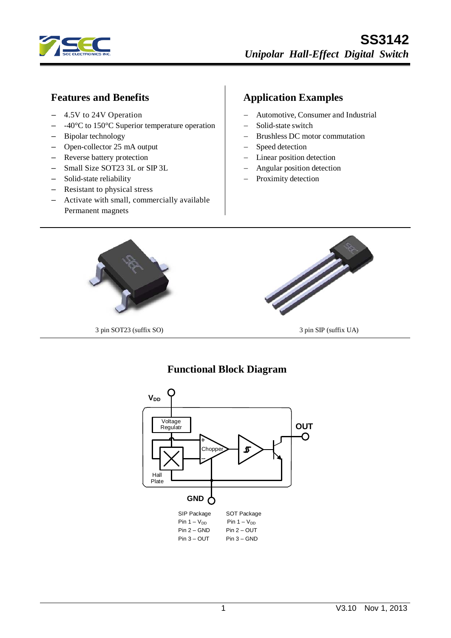

#### **Features and Benefits**

- 4.5V to 24V Operation
- -40°C to 150°C Superior temperature operation
- Bipolar technology
- Open-collector 25 mA output
- Reverse battery protection
- Small Size SOT23 3L or SIP 3L
- Solid-state reliability
- Resistant to physical stress
- Activate with small, commercially available Permanent magnets

# **Application Examples**

- − Automotive, Consumer and Industrial
- − Solid-state switch
- − Brushless DC motor commutation
- − Speed detection
- Linear position detection
- − Angular position detection
- Proximity detection



3 pin SOT23 (suffix SO) 3 pin SIP (suffix UA)

#### **Functional Block Diagram**

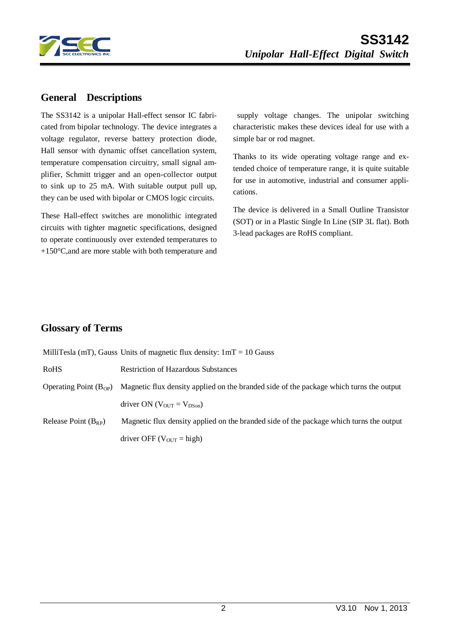

#### **General Descriptions**

The SS3142 is a unipolar Hall-effect sensor IC fabricated from bipolar technology. The device integrates a voltage regulator, reverse battery protection diode, Hall sensor with dynamic offset cancellation system, temperature compensation circuitry, small signal amplifier, Schmitt trigger and an open-collector output to sink up to 25 mA. With suitable output pull up, they can be used with bipolar or CMOS logic circuits.

These Hall-effect switches are monolithic integrated circuits with tighter magnetic specifications, designed to operate continuously over extended temperatures to +150°C,and are more stable with both temperature and

supply voltage changes. The unipolar switching characteristic makes these devices ideal for use with a simple bar or rod magnet.

Thanks to its wide operating voltage range and extended choice of temperature range, it is quite suitable for use in automotive, industrial and consumer applications.

The device is delivered in a Small Outline Transistor (SOT) or in a Plastic Single In Line (SIP 3L flat). Both 3-lead packages are RoHS compliant.

#### **Glossary of Terms**

|                            | MilliTesla (mT), Gauss Units of magnetic flux density: $1mT = 10$ Gauss                 |
|----------------------------|-----------------------------------------------------------------------------------------|
| <b>RoHS</b>                | <b>Restriction of Hazardous Substances</b>                                              |
| Operating Point $(B_{OP})$ | Magnetic flux density applied on the branded side of the package which turns the output |
|                            | driver ON ( $V_{OUT} = V_{DSon}$ )                                                      |
| Release Point $(B_{RP})$   | Magnetic flux density applied on the branded side of the package which turns the output |
|                            | driver OFF ( $V_{\text{OUT}} = \text{high}$ )                                           |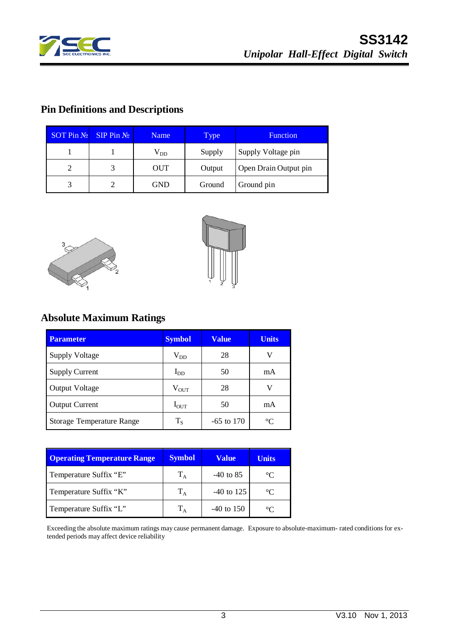

# **Pin Definitions and Descriptions**

| $SOT$ Pin $N_2$ | $SIP$ Pin $N_2$ | <b>Name</b>  | <b>Type</b> | <b>Function</b>       |
|-----------------|-----------------|--------------|-------------|-----------------------|
|                 |                 | $\rm V_{DD}$ | Supply      | Supply Voltage pin    |
| 2               |                 | OUT          | Output      | Open Drain Output pin |
| 3               |                 | <b>GND</b>   | Ground      | Ground pin            |





# **Absolute Maximum Ratings**

| <b>Parameter</b>          | <b>Symbol</b> | <b>Value</b> | <b>Units</b> |
|---------------------------|---------------|--------------|--------------|
| <b>Supply Voltage</b>     | $\rm V_{DD}$  | 28           | V            |
| <b>Supply Current</b>     | $I_{DD}$      | 50           | mA           |
| <b>Output Voltage</b>     | $V_{\rm OUT}$ | 28           | V            |
| <b>Output Current</b>     | $I_{OUT}$     | 50           | mA           |
| Storage Temperature Range | $T_S$         | $-65$ to 170 | $^{\circ}C$  |

| <b>Operating Temperature Range</b> | <b>Symbol</b> | Value        | <b>Units</b> |
|------------------------------------|---------------|--------------|--------------|
| Temperature Suffix "E"             | $T_A$         | $-40$ to 85  | $^{\circ}C$  |
| Temperature Suffix "K"             | $T_A$         | $-40$ to 125 | $^{\circ}C$  |
| Temperature Suffix "L"             | $T_A$         | $-40$ to 150 | $^{\circ}C$  |

Exceeding the absolute maximum ratings may cause permanent damage. Exposure to absolute-maximum- rated conditions for extended periods may affect device reliability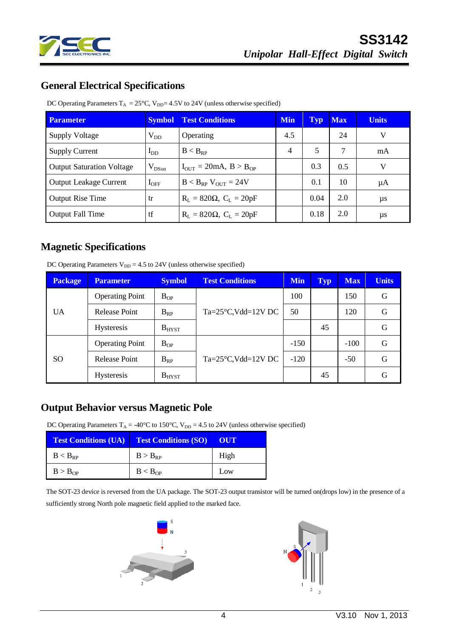

## **General Electrical Specifications**

DC Operating Parameters  $T_A = 25^{\circ}C$ ,  $V_{DD} = 4.5V$  to 24V (unless otherwise specified)

| <b>Parameter</b>                 | <b>Symbol</b> | <b>Test Conditions</b>                             |                | <b>Typ</b> | <b>Max</b> | <b>Units</b> |
|----------------------------------|---------------|----------------------------------------------------|----------------|------------|------------|--------------|
| <b>Supply Voltage</b>            | $\rm V_{DD}$  | Operating                                          | 4.5            |            | 24         | V            |
| <b>Supply Current</b>            | $I_{DD}$      | $B < B_{RP}$                                       | $\overline{4}$ | 5          | 7          | mA           |
| <b>Output Saturation Voltage</b> | $V_{DSon}$    | $I_{\text{OUT}} = 20 \text{mA}, B > B_{\text{OP}}$ |                | 0.3        | 0.5        | V            |
| <b>Output Leakage Current</b>    | $I_{\rm OFF}$ | $B < B_{RP}$ V <sub>OUT</sub> = 24V                |                | 0.1        | 10         | μA           |
| <b>Output Rise Time</b>          | tr            | $R_L = 820 \Omega$ , $C_L = 20pF$                  |                | 0.04       | 2.0        | μs           |
| <b>Output Fall Time</b>          | tf            | $R_{L} = 820 \Omega$ , $C_{L} = 20pF$              |                | 0.18       | 2.0        | $\mu s$      |

#### **Magnetic Specifications**

DC Operating Parameters  $V_{DD} = 4.5$  to 24V (unless otherwise specified)

| <b>Package</b> | <b>Parameter</b>       | <b>Symbol</b>   | <b>Test Conditions</b>             | <b>Min</b> | <b>Typ</b> | <b>Max</b> | <b>Units</b> |
|----------------|------------------------|-----------------|------------------------------------|------------|------------|------------|--------------|
| <b>UA</b>      | <b>Operating Point</b> | $B_{OP}$        |                                    | 100        |            | 150        | G            |
|                | Release Point          | $B_{RP}$        | $Ta = 25^{\circ}C$ , Vdd= $12V$ DC | 50         |            | 120        | G            |
|                | <b>Hysteresis</b>      | $B_{H YST}$     |                                    |            | 45         |            | G            |
| SO.            | <b>Operating Point</b> | $B_{OP}$        |                                    | $-150$     |            | $-100$     | G            |
|                | <b>Release Point</b>   | $B_{RP}$        | $Ta = 25^{\circ}C$ , Vdd= $12V$ DC | $-120$     |            | $-50$      | G            |
|                | <b>Hysteresis</b>      | $\rm B_{H YST}$ |                                    |            | 45         |            | G            |

### **Output Behavior versus Magnetic Pole**

DC Operating Parameters  $T_A = -40^{\circ}C$  to 150°C,  $V_{DD} = 4.5$  to 24V (unless otherwise specified)

|                     | <b>Test Conditions (UA) Test Conditions (SO)</b> | E OUT |
|---------------------|--------------------------------------------------|-------|
| $B < B_{RP}$        | $B > B_{RP}$                                     | High  |
| B > B <sub>OP</sub> | B < B <sub>OP</sub>                              | Low   |

The SOT-23 device is reversed from the UA package. The SOT-23 output transistor will be turned on(drops low) in the presence of a sufficiently strong North pole magnetic field applied to the marked face.



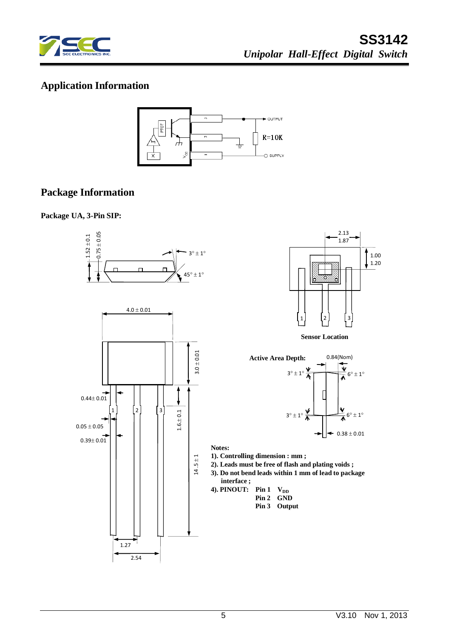

# **Application Information**



# **Package Information**

**Package UA, 3-Pin SIP:**